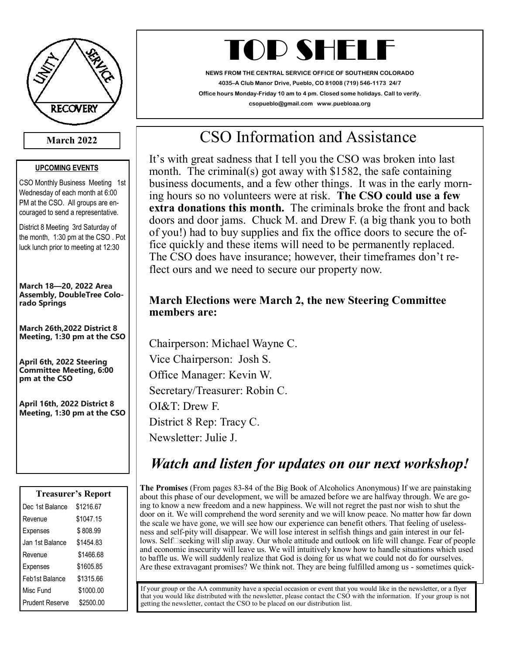

### **March 2022**

#### **UPCOMING EVENTS**

CSO Monthly Business Meeting 1st Wednesday of each month at 6:00 PM at the CSO. All groups are encouraged to send a representative.

District 8 Meeting 3rd Saturday of the month, 1:30 pm at the CSO . Pot luck lunch prior to meeting at 12:30

**March 18—20, 2022 Area Assembly, DoubleTree Colorado Springs**

**March 26th,2022 District 8 Meeting, 1:30 pm at the CSO**

**April 6th, 2022 Steering Committee Meeting, 6:00 pm at the CSO**

**April 16th, 2022 District 8 Meeting, 1:30 pm at the CSO**

| <b>Treasurer's Report</b> |           |
|---------------------------|-----------|
| Dec 1st Balance           | \$1216.67 |
| Revenue                   | \$1047.15 |
| Expenses                  | \$808.99  |
| Jan 1st Balance           | \$1454.83 |
| Revenue                   | \$1466.68 |
| Expenses                  | \$1605.85 |
| Feb1st Balance            | \$1315.66 |
| Misc Fund                 | \$1000.00 |
| <b>Prudent Reserve</b>    | \$2500.00 |

# TOD SHELI

**NEWS FROM THE CENTRAL SERVICE OFFICE OF SOUTHERN COLORADO 4035–A Club Manor Drive, Pueblo, CO 81008 (719) 546-1173 24/7 Office hours Monday-Friday 10 am to 4 pm. Closed some holidays. Call to verify. csopueblo@gmail.com www.puebloaa.org**

# CSO Information and Assistance

 **extra donations this month.** The criminals broke the front and back It's with great sadness that I tell you the CSO was broken into last month. The criminal(s) got away with \$1582, the safe containing business documents, and a few other things. It was in the early morning hours so no volunteers were at risk. **The CSO could use a few**  doors and door jams. Chuck M. and Drew F. (a big thank you to both of you!) had to buy supplies and fix the office doors to secure the office quickly and these items will need to be permanently replaced. The CSO does have insurance; however, their timeframes don't reflect ours and we need to secure our property now.

### **March Elections were March 2, the new Steering Committee members are:**

Chairperson: Michael Wayne C. Vice Chairperson: Josh S. Office Manager: Kevin W. Secretary/Treasurer: Robin C. OI&T: Drew F. District 8 Rep: Tracy C. Newsletter: Julie J.

## *Watch and listen for updates on our next workshop!*

**The Promises** (From pages 83-84 of the Big Book of Alcoholics Anonymous) If we are painstaking about this phase of our development, we will be amazed before we are halfway through. We are going to know a new freedom and a new happiness. We will not regret the past nor wish to shut the door on it. We will comprehend the word serenity and we will know peace. No matter how far down the scale we have gone, we will see how our experience can benefit others. That feeling of uselessness and self-pity will disappear. We will lose interest in selfish things and gain interest in our fellows. Self $\square$  seeking will slip away. Our whole attitude and outlook on life will change. Fear of people and economic insecurity will leave us. We will intuitively know how to handle situations which used to baffle us. We will suddenly realize that God is doing for us what we could not do for ourselves. Are these extravagant promises? We think not. They are being fulfilled among us - sometimes quick-

If your group or the AA community have a special occasion or event that you would like in the newsletter, or a flyer that you would like distributed with the newsletter, please contact the CSO with the information. If your group is not getting the newsletter, contact the CSO to be placed on our distribution list.